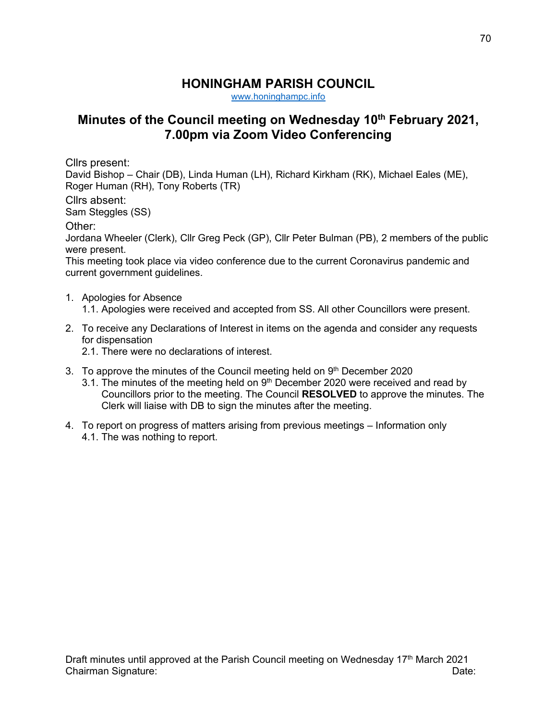## **HONINGHAM PARISH COUNCIL**

[www.honinghampc.info](http://www.honinghampc.info/)

## **Minutes of the Council meeting on Wednesday 10th February 2021, 7.00pm via Zoom Video Conferencing**

Cllrs present:

David Bishop – Chair (DB), Linda Human (LH), Richard Kirkham (RK), Michael Eales (ME), Roger Human (RH), Tony Roberts (TR)

Cllrs absent:

Sam Steggles (SS)

Other:

Jordana Wheeler (Clerk), Cllr Greg Peck (GP), Cllr Peter Bulman (PB), 2 members of the public were present.

This meeting took place via video conference due to the current Coronavirus pandemic and current government guidelines.

- 1. Apologies for Absence
	- 1.1. Apologies were received and accepted from SS. All other Councillors were present.
- 2. To receive any Declarations of Interest in items on the agenda and consider any requests for dispensation
	- 2.1. There were no declarations of interest.
- 3. To approve the minutes of the Council meeting held on  $9<sup>th</sup>$  December 2020
	- 3.1. The minutes of the meeting held on  $9<sup>th</sup>$  December 2020 were received and read by Councillors prior to the meeting. The Council **RESOLVED** to approve the minutes. The Clerk will liaise with DB to sign the minutes after the meeting.
- 4. To report on progress of matters arising from previous meetings Information only 4.1. The was nothing to report.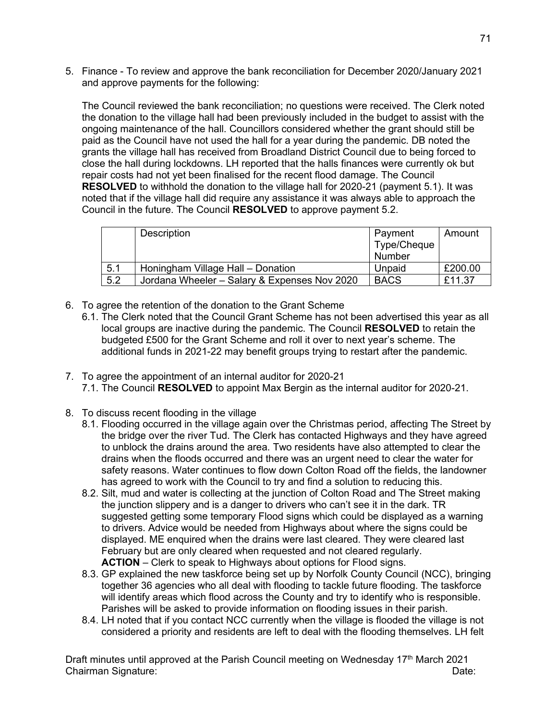5. Finance - To review and approve the bank reconciliation for December 2020/January 2021 and approve payments for the following:

The Council reviewed the bank reconciliation; no questions were received. The Clerk noted the donation to the village hall had been previously included in the budget to assist with the ongoing maintenance of the hall. Councillors considered whether the grant should still be paid as the Council have not used the hall for a year during the pandemic. DB noted the grants the village hall has received from Broadland District Council due to being forced to close the hall during lockdowns. LH reported that the halls finances were currently ok but repair costs had not yet been finalised for the recent flood damage. The Council **RESOLVED** to withhold the donation to the village hall for 2020-21 (payment 5.1). It was noted that if the village hall did require any assistance it was always able to approach the Council in the future. The Council **RESOLVED** to approve payment 5.2.

|     | Description                                  | Payment<br>Type/Cheque<br>Number | Amount  |
|-----|----------------------------------------------|----------------------------------|---------|
| 5.1 | Honingham Village Hall - Donation            | Unpaid                           | £200.00 |
| 5.2 | Jordana Wheeler - Salary & Expenses Nov 2020 | <b>BACS</b>                      | £11.37  |

- 6. To agree the retention of the donation to the Grant Scheme
	- 6.1. The Clerk noted that the Council Grant Scheme has not been advertised this year as all local groups are inactive during the pandemic. The Council **RESOLVED** to retain the budgeted £500 for the Grant Scheme and roll it over to next year's scheme. The additional funds in 2021-22 may benefit groups trying to restart after the pandemic.
- 7. To agree the appointment of an internal auditor for 2020-21 7.1. The Council **RESOLVED** to appoint Max Bergin as the internal auditor for 2020-21.
- 8. To discuss recent flooding in the village
	- 8.1. Flooding occurred in the village again over the Christmas period, affecting The Street by the bridge over the river Tud. The Clerk has contacted Highways and they have agreed to unblock the drains around the area. Two residents have also attempted to clear the drains when the floods occurred and there was an urgent need to clear the water for safety reasons. Water continues to flow down Colton Road off the fields, the landowner has agreed to work with the Council to try and find a solution to reducing this.
	- 8.2. Silt, mud and water is collecting at the junction of Colton Road and The Street making the junction slippery and is a danger to drivers who can't see it in the dark. TR suggested getting some temporary Flood signs which could be displayed as a warning to drivers. Advice would be needed from Highways about where the signs could be displayed. ME enquired when the drains were last cleared. They were cleared last February but are only cleared when requested and not cleared regularly. **ACTION** – Clerk to speak to Highways about options for Flood signs.
	- 8.3. GP explained the new taskforce being set up by Norfolk County Council (NCC), bringing together 36 agencies who all deal with flooding to tackle future flooding. The taskforce will identify areas which flood across the County and try to identify who is responsible. Parishes will be asked to provide information on flooding issues in their parish.
	- 8.4. LH noted that if you contact NCC currently when the village is flooded the village is not considered a priority and residents are left to deal with the flooding themselves. LH felt

Draft minutes until approved at the Parish Council meeting on Wednesday 17<sup>th</sup> March 2021 Chairman Signature: Date: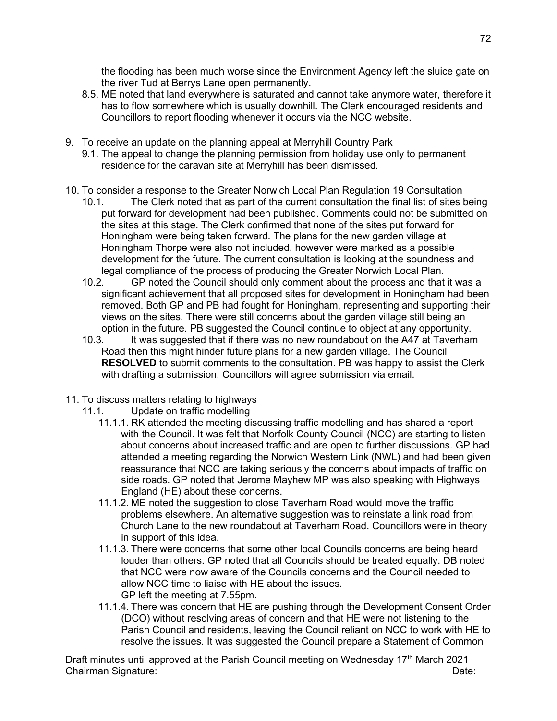the flooding has been much worse since the Environment Agency left the sluice gate on the river Tud at Berrys Lane open permanently.

- 8.5. ME noted that land everywhere is saturated and cannot take anymore water, therefore it has to flow somewhere which is usually downhill. The Clerk encouraged residents and Councillors to report flooding whenever it occurs via the NCC website.
- 9. To receive an update on the planning appeal at Merryhill Country Park
	- 9.1. The appeal to change the planning permission from holiday use only to permanent residence for the caravan site at Merryhill has been dismissed.
- 10. To consider a response to the Greater Norwich Local Plan Regulation 19 Consultation
	- 10.1. The Clerk noted that as part of the current consultation the final list of sites being put forward for development had been published. Comments could not be submitted on the sites at this stage. The Clerk confirmed that none of the sites put forward for Honingham were being taken forward. The plans for the new garden village at Honingham Thorpe were also not included, however were marked as a possible development for the future. The current consultation is looking at the soundness and legal compliance of the process of producing the Greater Norwich Local Plan.
	- 10.2. GP noted the Council should only comment about the process and that it was a significant achievement that all proposed sites for development in Honingham had been removed. Both GP and PB had fought for Honingham, representing and supporting their views on the sites. There were still concerns about the garden village still being an option in the future. PB suggested the Council continue to object at any opportunity.
	- 10.3. It was suggested that if there was no new roundabout on the A47 at Taverham Road then this might hinder future plans for a new garden village. The Council **RESOLVED** to submit comments to the consultation. PB was happy to assist the Clerk with drafting a submission. Councillors will agree submission via email.
- 11. To discuss matters relating to highways
	- 11.1. Update on traffic modelling
		- 11.1.1. RK attended the meeting discussing traffic modelling and has shared a report with the Council. It was felt that Norfolk County Council (NCC) are starting to listen about concerns about increased traffic and are open to further discussions. GP had attended a meeting regarding the Norwich Western Link (NWL) and had been given reassurance that NCC are taking seriously the concerns about impacts of traffic on side roads. GP noted that Jerome Mayhew MP was also speaking with Highways England (HE) about these concerns.
		- 11.1.2. ME noted the suggestion to close Taverham Road would move the traffic problems elsewhere. An alternative suggestion was to reinstate a link road from Church Lane to the new roundabout at Taverham Road. Councillors were in theory in support of this idea.
		- 11.1.3. There were concerns that some other local Councils concerns are being heard louder than others. GP noted that all Councils should be treated equally. DB noted that NCC were now aware of the Councils concerns and the Council needed to allow NCC time to liaise with HE about the issues. GP left the meeting at 7.55pm.
		- 11.1.4. There was concern that HE are pushing through the Development Consent Order (DCO) without resolving areas of concern and that HE were not listening to the Parish Council and residents, leaving the Council reliant on NCC to work with HE to resolve the issues. It was suggested the Council prepare a Statement of Common

Draft minutes until approved at the Parish Council meeting on Wednesday 17<sup>th</sup> March 2021 Chairman Signature: Date: Date: Date: Date: Date: Date: Date: Date: Date: Date: Date: Date: Date: Date: Date: Date: Date: Date: Date: Date: Date: Date: Date: Date: Date: Date: Date: Date: Date: Date: Date: Date: Date: Date